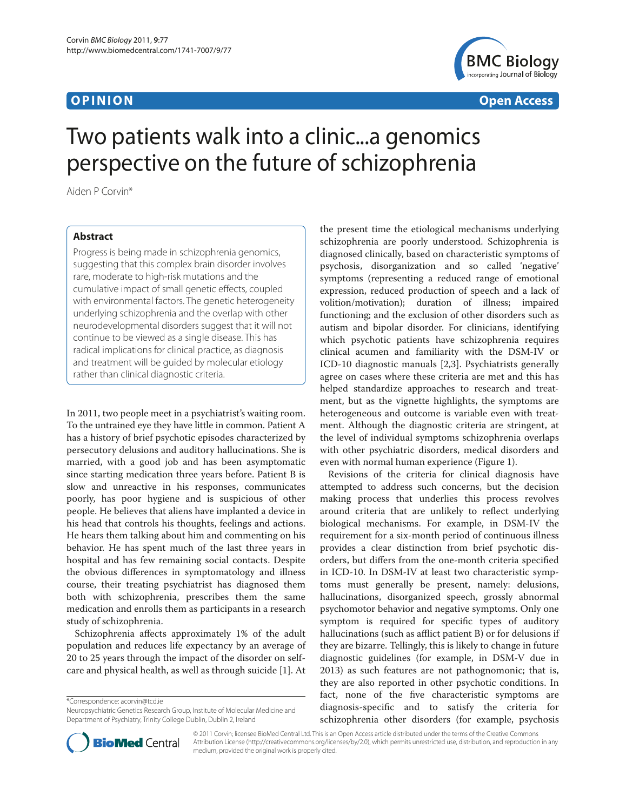

**O PINION OPINION** 

# Two patients walk into a clinic...a genomics perspective on the future of schizophrenia

Aiden P Corvin\*

# **Abstract**

Progress is being made in schizophrenia genomics, suggesting that this complex brain disorder involves rare, moderate to high-risk mutations and the cumulative impact of small genetic effects, coupled with environmental factors. The genetic heterogeneity underlying schizophrenia and the overlap with other neurodevelopmental disorders suggest that it will not continue to be viewed as a single disease. This has radical implications for clinical practice, as diagnosis and treatment will be guided by molecular etiology rather than clinical diagnostic criteria.

In 2011, two people meet in a psychiatrist's waiting room. To the untrained eye they have little in common. Patient A has a history of brief psychotic episodes characterized by persecutory delusions and auditory hallucinations. She is married, with a good job and has been asymptomatic since starting medication three years before. Patient B is slow and unreactive in his responses, communicates poorly, has poor hygiene and is suspicious of other people. He believes that aliens have implanted a device in his head that controls his thoughts, feelings and actions. He hears them talking about him and commenting on his behavior. He has spent much of the last three years in hospital and has few remaining social contacts. Despite the obvious differences in symptomatology and illness course, their treating psychiatrist has diagnosed them both with schizophrenia, prescribes them the same medication and enrolls them as participants in a research study of schizophrenia.

Schizophrenia affects approximately 1% of the adult population and reduces life expectancy by an average of 20 to 25 years through the impact of the disorder on selfcare and physical health, as well as through suicide [1]. At

\*Correspondence: acorvin@tcd.ie

Neuropsychiatric Genetics Research Group, Institute of Molecular Medicine and Department of Psychiatry, Trinity College Dublin, Dublin 2, Ireland

the present time the etiological mechanisms underlying schizophrenia are poorly understood. Schizophrenia is diagnosed clinically, based on characteristic symptoms of psychosis, disorganization and so called 'negative' symptoms (representing a reduced range of emotional expression, reduced production of speech and a lack of volition/motivation); duration of illness; impaired functioning; and the exclusion of other disorders such as autism and bipolar disorder. For clinicians, identifying which psychotic patients have schizophrenia requires clinical acumen and familiarity with the DSM-IV or ICD-10 diagnostic manuals [2,3]. Psychiatrists generally agree on cases where these criteria are met and this has helped standardize approaches to research and treatment, but as the vignette highlights, the symptoms are heterogeneous and outcome is variable even with treatment. Although the diagnostic criteria are stringent, at the level of individual symptoms schizophrenia overlaps with other psychiatric disorders, medical disorders and even with normal human experience (Figure 1).

Revisions of the criteria for clinical diagnosis have attempted to address such concerns, but the decision making process that underlies this process revolves around criteria that are unlikely to reflect underlying biological mechanisms. For example, in DSM-IV the requirement for a six-month period of continuous illness provides a clear distinction from brief psychotic disorders, but differs from the one-month criteria specified in ICD-10. In DSM-IV at least two characteristic symptoms must generally be present, namely: delusions, hallucinations, disorganized speech, grossly abnormal psychomotor behavior and negative symptoms. Only one symptom is required for specific types of auditory hallucinations (such as afflict patient B) or for delusions if they are bizarre. Tellingly, this is likely to change in future diagnostic guidelines (for example, in DSM-V due in 2013) as such features are not pathognomonic; that is, they are also reported in other psychotic conditions. In fact, none of the five characteristic symptoms are diagnosis-specific and to satisfy the criteria for schizophrenia other disorders (for example, psychosis



© 2011 Corvin; licensee BioMed Central Ltd. This is an Open Access article distributed under the terms of the Creative Commons Attribution License (http://creativecommons.org/licenses/by/2.0), which permits unrestricted use, distribution, and reproduction in any medium, provided the original work is properly cited.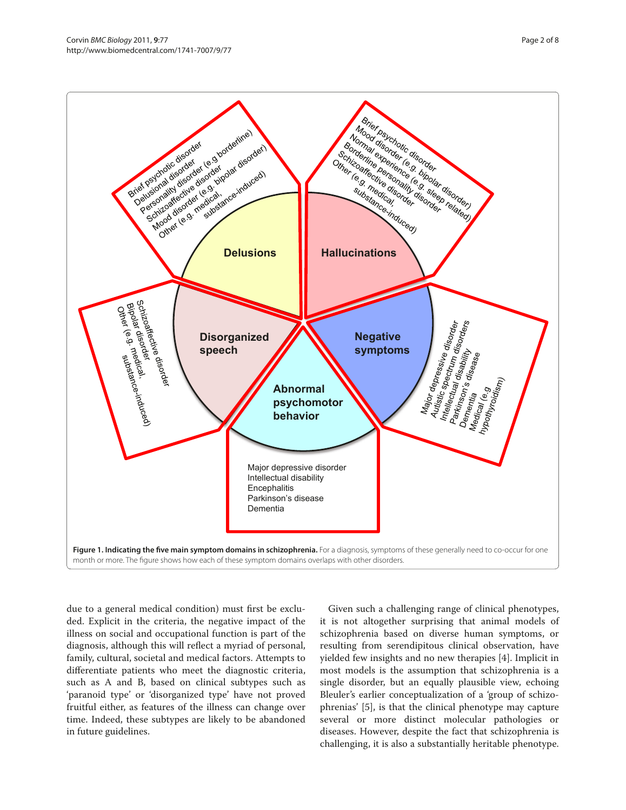



**behavior**

Major depressive disorder Intellectual disability **Encephalitis** Parkinson's disease

Dementia

due to a general medical condition) must first be excluded. Explicit in the criteria, the negative impact of the illness on social and occupational function is part of the diagnosis, although this will reflect a myriad of personal, family, cultural, societal and medical factors. Attempts to differentiate patients who meet the diagnostic criteria, such as A and B, based on clinical subtypes such as 'paranoid type' or 'disorganized type' have not proved fruitful either, as features of the illness can change over time. Indeed, these subtypes are likely to be abandoned in future guidelines.

Given such a challenging range of clinical phenotypes, it is not altogether surprising that animal models of schizophrenia based on diverse human symptoms, or resulting from serendipitous clinical observation, have yielded few insights and no new therapies [4]. Implicit in most models is the assumption that schizophrenia is a single disorder, but an equally plausible view, echoing Bleuler's earlier conceptualization of a 'group of schizophrenias' [5], is that the clinical phenotype may capture several or more distinct molecular pathologies or diseases. However, despite the fact that schizophrenia is challenging, it is also a substantially heritable phenotype.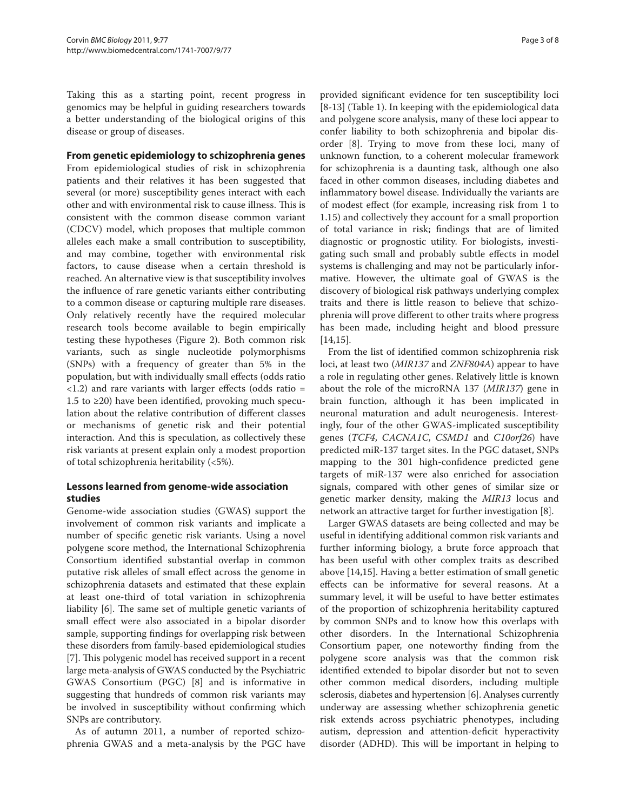Taking this as a starting point, recent progress in genomics may be helpful in guiding researchers towards a better understanding of the biological origins of this disease or group of diseases.

## **From genetic epidemiology to schizophrenia genes**

From epidemiological studies of risk in schizophrenia patients and their relatives it has been suggested that several (or more) susceptibility genes interact with each other and with environmental risk to cause illness. This is consistent with the common disease common variant (CDCV) model, which proposes that multiple common alleles each make a small contribution to susceptibility, and may combine, together with environmental risk factors, to cause disease when a certain threshold is reached. An alternative view is that susceptibility involves the influence of rare genetic variants either contributing to a common disease or capturing multiple rare diseases. Only relatively recently have the required molecular research tools become available to begin empirically testing these hypotheses (Figure 2). Both common risk variants, such as single nucleotide polymorphisms (SNPs) with a frequency of greater than 5% in the population, but with individually small effects (odds ratio  $(1.2)$  and rare variants with larger effects (odds ratio = 1.5 to ≥20) have been identified, provoking much speculation about the relative contribution of different classes or mechanisms of genetic risk and their potential interaction. And this is speculation, as collectively these risk variants at present explain only a modest proportion of total schizophrenia heritability (<5%).

# **Lessons learned from genome-wide association studies**

Genome-wide association studies (GWAS) support the involvement of common risk variants and implicate a number of specific genetic risk variants. Using a novel polygene score method, the International Schizophrenia Consortium identified substantial overlap in common putative risk alleles of small effect across the genome in schizophrenia datasets and estimated that these explain at least one-third of total variation in schizophrenia liability [6]. The same set of multiple genetic variants of small effect were also associated in a bipolar disorder sample, supporting findings for overlapping risk between these disorders from family-based epidemiological studies [7]. This polygenic model has received support in a recent large meta-analysis of GWAS conducted by the Psychiatric GWAS Consortium (PGC) [8] and is informative in suggesting that hundreds of common risk variants may be involved in susceptibility without confirming which SNPs are contributory.

As of autumn 2011, a number of reported schizophrenia GWAS and a meta-analysis by the PGC have

provided significant evidence for ten susceptibility loci [8-13] (Table 1). In keeping with the epidemiological data and polygene score analysis, many of these loci appear to confer liability to both schizophrenia and bipolar disorder [8]. Trying to move from these loci, many of unknown function, to a coherent molecular framework for schizophrenia is a daunting task, although one also faced in other common diseases, including diabetes and inflammatory bowel disease. Individually the variants are of modest effect (for example, increasing risk from 1 to 1.15) and collectively they account for a small proportion of total variance in risk; findings that are of limited diagnostic or prognostic utility. For biologists, investigating such small and probably subtle effects in model systems is challenging and may not be particularly informative. However, the ultimate goal of GWAS is the discovery of biological risk pathways underlying complex traits and there is little reason to believe that schizophrenia will prove different to other traits where progress has been made, including height and blood pressure [14,15].

From the list of identified common schizophrenia risk loci, at least two (*MIR137* and *ZNF804A*) appear to have a role in regulating other genes. Relatively little is known about the role of the microRNA 137 (*MIR137*) gene in brain function, although it has been implicated in neuronal maturation and adult neurogenesis. Interestingly, four of the other GWAS-implicated susceptibility genes (*TCF4*, *CACNA1C*, *CSMD1* and *C10orf26*) have predicted miR-137 target sites. In the PGC dataset, SNPs mapping to the 301 high-confidence predicted gene targets of miR-137 were also enriched for association signals, compared with other genes of similar size or genetic marker density, making the *MIR13* locus and network an attractive target for further investigation [8].

Larger GWAS datasets are being collected and may be useful in identifying additional common risk variants and further informing biology, a brute force approach that has been useful with other complex traits as described above [14,15]. Having a better estimation of small genetic effects can be informative for several reasons. At a summary level, it will be useful to have better estimates of the proportion of schizophrenia heritability captured by common SNPs and to know how this overlaps with other disorders. In the International Schizophrenia Consortium paper, one noteworthy finding from the polygene score analysis was that the common risk identified extended to bipolar disorder but not to seven other common medical disorders, including multiple sclerosis, diabetes and hypertension [6]. Analyses currently underway are assessing whether schizophrenia genetic risk extends across psychiatric phenotypes, including autism, depression and attention-deficit hyperactivity disorder (ADHD). This will be important in helping to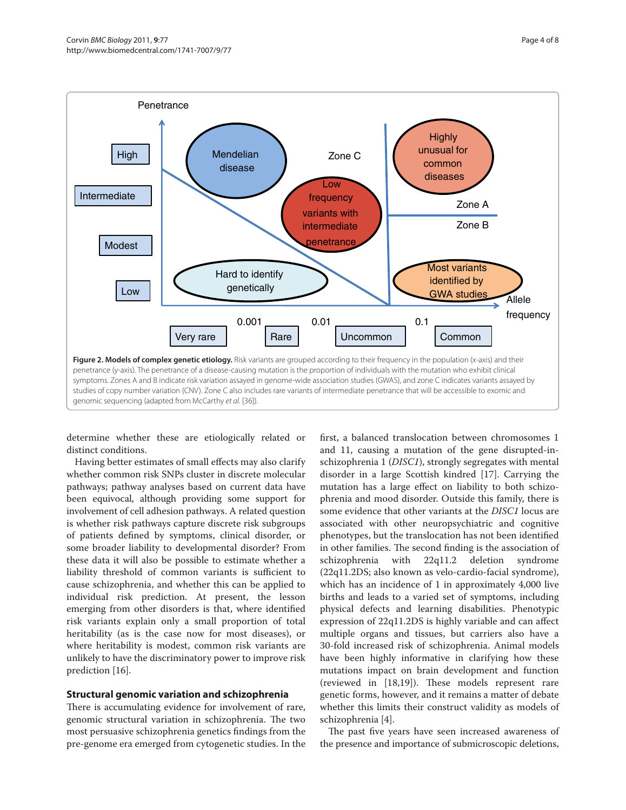

determine whether these are etiologically related or distinct conditions.

Having better estimates of small effects may also clarify whether common risk SNPs cluster in discrete molecular pathways; pathway analyses based on current data have been equivocal, although providing some support for involvement of cell adhesion pathways. A related question is whether risk pathways capture discrete risk subgroups of patients defined by symptoms, clinical disorder, or some broader liability to developmental disorder? From these data it will also be possible to estimate whether a liability threshold of common variants is sufficient to cause schizophrenia, and whether this can be applied to individual risk prediction. At present, the lesson emerging from other disorders is that, where identified risk variants explain only a small proportion of total heritability (as is the case now for most diseases), or where heritability is modest, common risk variants are unlikely to have the discriminatory power to improve risk prediction [16].

# **Structural genomic variation and schizophrenia**

There is accumulating evidence for involvement of rare, genomic structural variation in schizophrenia. The two most persuasive schizophrenia genetics findings from the pre-genome era emerged from cytogenetic studies. In the

first, a balanced translocation between chromosomes 1 and 11, causing a mutation of the gene disrupted-inschizophrenia 1 (*DISC1*), strongly segregates with mental disorder in a large Scottish kindred [17]. Carrying the mutation has a large effect on liability to both schizophrenia and mood disorder. Outside this family, there is some evidence that other variants at the *DISC1* locus are associated with other neuropsychiatric and cognitive phenotypes, but the translocation has not been identified in other families. The second finding is the association of schizophrenia with 22q11.2 deletion syndrome (22q11.2DS; also known as velo-cardio-facial syndrome), which has an incidence of 1 in approximately 4,000 live births and leads to a varied set of symptoms, including physical defects and learning disabilities. Phenotypic expression of 22q11.2DS is highly variable and can affect multiple organs and tissues, but carriers also have a 30-fold increased risk of schizophrenia. Animal models have been highly informative in clarifying how these mutations impact on brain development and function (reviewed in [18,19]). These models represent rare genetic forms, however, and it remains a matter of debate whether this limits their construct validity as models of schizophrenia [4].

The past five years have seen increased awareness of the presence and importance of submicroscopic deletions,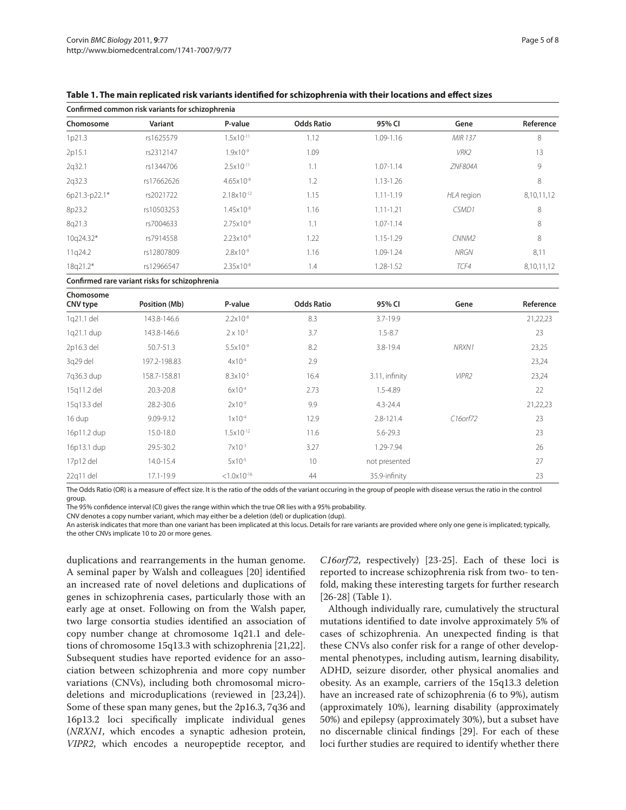**Confirmed common risk variants for schizophrenia**

| P-value<br>Variant<br>$1.5x10^{-11}$<br>rs1625579<br>$1.9x10^{-9}$<br>rs2312147 | <b>Odds Ratio</b><br>1.12 | 95% CI<br>1.09-1.16                                                                                                     | Gene<br>MIR 137               | Reference                                                                                                  |
|---------------------------------------------------------------------------------|---------------------------|-------------------------------------------------------------------------------------------------------------------------|-------------------------------|------------------------------------------------------------------------------------------------------------|
|                                                                                 |                           |                                                                                                                         |                               |                                                                                                            |
|                                                                                 |                           |                                                                                                                         |                               | 8                                                                                                          |
|                                                                                 | 1.09                      |                                                                                                                         | VRK2                          | 13                                                                                                         |
| $2.5 \times 10^{-11}$<br>rs1344706                                              | 1.1                       | $1.07 - 1.14$                                                                                                           | ZNF804A                       | 9                                                                                                          |
| $4.65 \times 10^{-8}$<br>rs17662626                                             | 1.2                       | $1.13 - 1.26$                                                                                                           |                               | 8                                                                                                          |
| rs2021722                                                                       | 1.15                      |                                                                                                                         | HLA region                    | 8,10,11,12                                                                                                 |
| rs10503253                                                                      |                           |                                                                                                                         | CSMD1                         | 8                                                                                                          |
| rs7004633                                                                       | 1.1                       |                                                                                                                         |                               | 8                                                                                                          |
| rs7914558                                                                       | 1.22                      |                                                                                                                         | CNNM <sub>2</sub>             | 8                                                                                                          |
| rs12807809                                                                      |                           |                                                                                                                         | <b>NRGN</b>                   | 8,11                                                                                                       |
| rs12966547                                                                      | 1.4                       |                                                                                                                         |                               | 8,10,11,12                                                                                                 |
|                                                                                 |                           | $2.18 \times 10^{-12}$<br>$1.45\times10^{-8}$<br>$2.75 \times 10^{-8}$<br>$2.23 \times 10^{-8}$<br>$2.8 \times 10^{-9}$ | 1.16<br>$1.11 - 1.21$<br>1.16 | $1.11 - 1.19$<br>$1.07 - 1.14$<br>$1.15 - 1.29$<br>1.09-1.24<br>TCF4<br>$2.35 \times 10^{-8}$<br>1.28-1.52 |

### **Table 1. The main replicated risk variants identified for schizophrenia with their locations and effect sizes**

**Confirmed rare variant risks for schizophrenia**

| Chomosome<br>CNV type | Position (Mb) | P-value                 | <b>Odds Ratio</b> | 95% CI         | Gene     | Reference |
|-----------------------|---------------|-------------------------|-------------------|----------------|----------|-----------|
| 1q21.1 del            | 143.8-146.6   | $2.2 \times 10^{-8}$    | 8.3               | $3.7 - 19.9$   |          | 21,22,23  |
| 1q21.1 dup            | 143.8-146.6   | $2 \times 10^{-3}$      | 3.7               | $1.5 - 8.7$    |          | 23        |
| 2p16.3 del            | 50.7-51.3     | $5.5 \times 10^{-9}$    | 8.2               | 3.8-19.4       | NRXN1    | 23,25     |
| 3q29 del              | 197.2-198.83  | $4x10^{-4}$             | 2.9               |                |          | 23,24     |
| 7q36.3 dup            | 158.7-158.81  | $8.3 \times 10^{-5}$    | 16.4              | 3.11, infinity | VIPR2    | 23,24     |
| 15q11.2 del           | 20.3-20.8     | $6x10^{-4}$             | 2.73              | 1.5-4.89       |          | 22        |
| 15q13.3 del           | 28.2-30.6     | $2x10^{-9}$             | 9.9               | $4.3 - 24.4$   |          | 21,22,23  |
| 16 dup                | 9.09-9.12     | $1 \times 10^{-4}$      | 12.9              | 2.8-121.4      | C16orf72 | 23        |
| 16p11.2 dup           | 15.0-18.0     | $1.5 \times 10^{-12}$   | 11.6              | $5.6 - 29.3$   |          | 23        |
| 16p13.1 dup           | 29.5-30.2     | $7 \times 10^{-3}$      | 3.27              | 1.29-7.94      |          | 26        |
| 17p12 del             | 14.0-15.4     | $5x10^{-5}$             | 10                | not presented  |          | 27        |
| $22q11$ del           | 17.1-19.9     | $< 1.0 \times 10^{-16}$ | 44                | 35.9-infinity  |          | 23        |

The Odds Ratio (OR) is a measure of effect size. It is the ratio of the odds of the variant occuring in the group of people with disease versus the ratio in the control group.

The 95% confidence interval (CI) gives the range within which the true OR lies with a 95% probability.

CNV denotes a copy number variant, which may either be a deletion (del) or duplication (dup).

An asterisk indicates that more than one variant has been implicated at this locus. Details for rare variants are provided where only one gene is implicated; typically, the other CNVs implicate 10 to 20 or more genes.

duplications and rearrangements in the human genome. A seminal paper by Walsh and colleagues [20] identified an increased rate of novel deletions and duplications of genes in schizophrenia cases, particularly those with an early age at onset. Following on from the Walsh paper, two large consortia studies identified an association of copy number change at chromosome 1q21.1 and deletions of chromosome 15q13.3 with schizophrenia [21,22]. Subsequent studies have reported evidence for an association between schizophrenia and more copy number variations (CNVs), including both chromosomal microdeletions and microduplications (reviewed in [23,24]). Some of these span many genes, but the 2p16.3, 7q36 and 16p13.2 loci specifically implicate individual genes (*NRXN1*, which encodes a synaptic adhesion protein, *VIPR2*, which encodes a neuropeptide receptor, and

*C16orf72*, respectively) [23-25]. Each of these loci is reported to increase schizophrenia risk from two- to tenfold, making these interesting targets for further research [26-28] (Table 1).

Although individually rare, cumulatively the structural mutations identified to date involve approximately 5% of cases of schizophrenia. An unexpected finding is that these CNVs also confer risk for a range of other developmental phenotypes, including autism, learning disability, ADHD, seizure disorder, other physical anomalies and obesity. As an example, carriers of the 15q13.3 deletion have an increased rate of schizophrenia (6 to 9%), autism (approximately 10%), learning disability (approximately 50%) and epilepsy (approximately 30%), but a subset have no discernable clinical findings [29]. For each of these loci further studies are required to identify whether there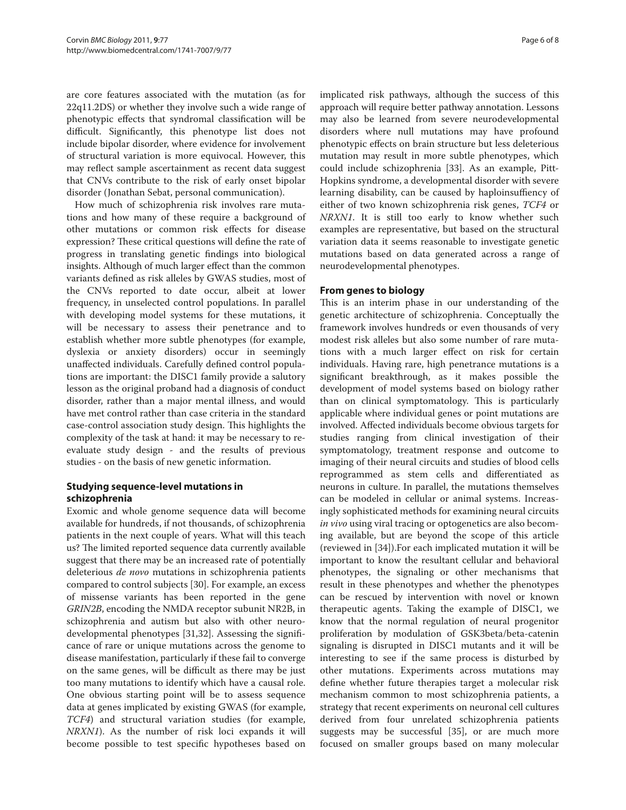are core features associated with the mutation (as for 22q11.2DS) or whether they involve such a wide range of phenotypic effects that syndromal classification will be difficult. Significantly, this phenotype list does not include bipolar disorder, where evidence for involvement of structural variation is more equivocal. However, this may reflect sample ascertainment as recent data suggest that CNVs contribute to the risk of early onset bipolar disorder (Jonathan Sebat, personal communication).

How much of schizophrenia risk involves rare mutations and how many of these require a background of other mutations or common risk effects for disease expression? These critical questions will define the rate of progress in translating genetic findings into biological insights. Although of much larger effect than the common variants defined as risk alleles by GWAS studies, most of the CNVs reported to date occur, albeit at lower frequency, in unselected control populations. In parallel with developing model systems for these mutations, it will be necessary to assess their penetrance and to establish whether more subtle phenotypes (for example, dyslexia or anxiety disorders) occur in seemingly unaffected individuals. Carefully defined control populations are important: the DISC1 family provide a salutory lesson as the original proband had a diagnosis of conduct disorder, rather than a major mental illness, and would have met control rather than case criteria in the standard case-control association study design. This highlights the complexity of the task at hand: it may be necessary to reevaluate study design - and the results of previous studies - on the basis of new genetic information.

# **Studying sequence-level mutations in schizophrenia**

Exomic and whole genome sequence data will become available for hundreds, if not thousands, of schizophrenia patients in the next couple of years. What will this teach us? The limited reported sequence data currently available suggest that there may be an increased rate of potentially deleterious *de novo* mutations in schizophrenia patients compared to control subjects [30]. For example, an excess of missense variants has been reported in the gene *GRIN2B*, encoding the NMDA receptor subunit NR2B, in schizophrenia and autism but also with other neurodevelopmental phenotypes [31,32]. Assessing the significance of rare or unique mutations across the genome to disease manifestation, particularly if these fail to converge on the same genes, will be difficult as there may be just too many mutations to identify which have a causal role. One obvious starting point will be to assess sequence data at genes implicated by existing GWAS (for example, *TCF4*) and structural variation studies (for example, *NRXN1*). As the number of risk loci expands it will become possible to test specific hypotheses based on implicated risk pathways, although the success of this approach will require better pathway annotation. Lessons may also be learned from severe neurodevelopmental disorders where null mutations may have profound phenotypic effects on brain structure but less deleterious mutation may result in more subtle phenotypes, which could include schizophrenia [33]. As an example, Pitt-Hopkins syndrome, a developmental disorder with severe learning disability, can be caused by haploinsuffiency of either of two known schizophrenia risk genes, *TCF4* or *NRXN1*. It is still too early to know whether such examples are representative, but based on the structural variation data it seems reasonable to investigate genetic mutations based on data generated across a range of neurodevelopmental phenotypes.

# **From genes to biology**

This is an interim phase in our understanding of the genetic architecture of schizophrenia. Conceptually the framework involves hundreds or even thousands of very modest risk alleles but also some number of rare mutations with a much larger effect on risk for certain individuals. Having rare, high penetrance mutations is a significant breakthrough, as it makes possible the development of model systems based on biology rather than on clinical symptomatology. This is particularly applicable where individual genes or point mutations are involved. Affected individuals become obvious targets for studies ranging from clinical investigation of their symptomatology, treatment response and outcome to imaging of their neural circuits and studies of blood cells reprogrammed as stem cells and differentiated as neurons in culture. In parallel, the mutations themselves can be modeled in cellular or animal systems. Increasingly sophisticated methods for examining neural circuits *in vivo* using viral tracing or optogenetics are also becoming available, but are beyond the scope of this article (reviewed in [34]).For each implicated mutation it will be important to know the resultant cellular and behavioral phenotypes, the signaling or other mechanisms that result in these phenotypes and whether the phenotypes can be rescued by intervention with novel or known therapeutic agents. Taking the example of DISC1, we know that the normal regulation of neural progenitor proliferation by modulation of GSK3beta/beta-catenin signaling is disrupted in DISC1 mutants and it will be interesting to see if the same process is disturbed by other mutations. Experiments across mutations may define whether future therapies target a molecular risk mechanism common to most schizophrenia patients, a strategy that recent experiments on neuronal cell cultures derived from four unrelated schizophrenia patients suggests may be successful [35], or are much more focused on smaller groups based on many molecular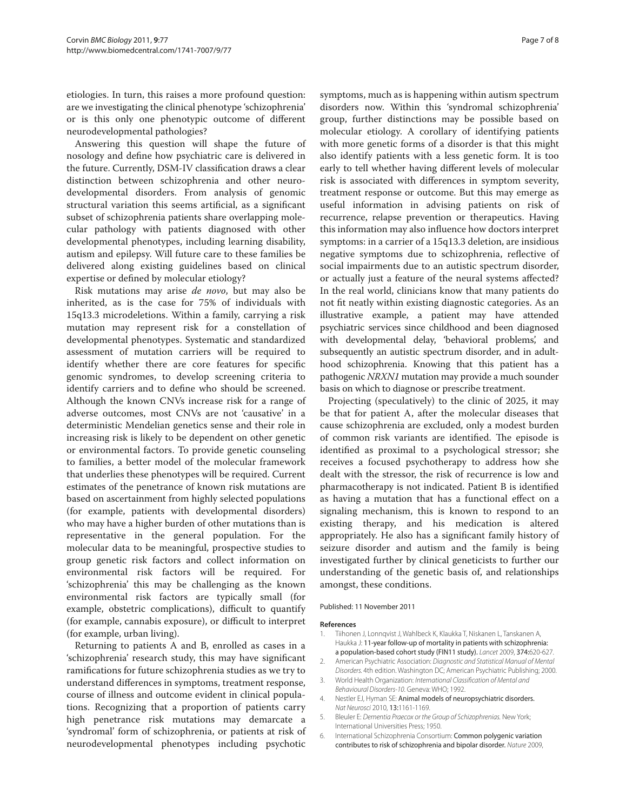etiologies. In turn, this raises a more profound question: are we investigating the clinical phenotype 'schizophrenia' or is this only one phenotypic outcome of different neurodevelopmental pathologies?

Answering this question will shape the future of nosology and define how psychiatric care is delivered in the future. Currently, DSM-IV classification draws a clear distinction between schizophrenia and other neurodevelopmental disorders. From analysis of genomic structural variation this seems artificial, as a significant subset of schizophrenia patients share overlapping molecular pathology with patients diagnosed with other developmental phenotypes, including learning disability, autism and epilepsy. Will future care to these families be delivered along existing guidelines based on clinical expertise or defined by molecular etiology?

Risk mutations may arise *de novo*, but may also be inherited, as is the case for 75% of individuals with 15q13.3 microdeletions. Within a family, carrying a risk mutation may represent risk for a constellation of developmental phenotypes. Systematic and standardized assessment of mutation carriers will be required to identify whether there are core features for specific genomic syndromes, to develop screening criteria to identify carriers and to define who should be screened. Although the known CNVs increase risk for a range of adverse outcomes, most CNVs are not 'causative' in a deterministic Mendelian genetics sense and their role in increasing risk is likely to be dependent on other genetic or environmental factors. To provide genetic counseling to families, a better model of the molecular framework that underlies these phenotypes will be required. Current estimates of the penetrance of known risk mutations are based on ascertainment from highly selected populations (for example, patients with developmental disorders) who may have a higher burden of other mutations than is representative in the general population. For the molecular data to be meaningful, prospective studies to group genetic risk factors and collect information on environmental risk factors will be required. For 'schizophrenia' this may be challenging as the known environmental risk factors are typically small (for example, obstetric complications), difficult to quantify (for example, cannabis exposure), or difficult to interpret (for example, urban living).

Returning to patients A and B, enrolled as cases in a 'schizophrenia' research study, this may have significant ramifications for future schizophrenia studies as we try to understand differences in symptoms, treatment response, course of illness and outcome evident in clinical populations. Recognizing that a proportion of patients carry high penetrance risk mutations may demarcate a 'syndromal' form of schizophrenia, or patients at risk of neurodevelopmental phenotypes including psychotic symptoms, much as is happening within autism spectrum disorders now. Within this 'syndromal schizophrenia' group, further distinctions may be possible based on molecular etiology. A corollary of identifying patients

with more genetic forms of a disorder is that this might also identify patients with a less genetic form. It is too early to tell whether having different levels of molecular risk is associated with differences in symptom severity, treatment response or outcome. But this may emerge as useful information in advising patients on risk of recurrence, relapse prevention or therapeutics. Having this information may also influence how doctors interpret symptoms: in a carrier of a 15q13.3 deletion, are insidious negative symptoms due to schizophrenia, reflective of social impairments due to an autistic spectrum disorder, or actually just a feature of the neural systems affected? In the real world, clinicians know that many patients do not fit neatly within existing diagnostic categories. As an illustrative example, a patient may have attended psychiatric services since childhood and been diagnosed with developmental delay, 'behavioral problems', and subsequently an autistic spectrum disorder, and in adulthood schizophrenia. Knowing that this patient has a pathogenic *NRXN1* mutation may provide a much sounder basis on which to diagnose or prescribe treatment.

Projecting (speculatively) to the clinic of 2025, it may be that for patient A, after the molecular diseases that cause schizophrenia are excluded, only a modest burden of common risk variants are identified. The episode is identified as proximal to a psychological stressor; she receives a focused psychotherapy to address how she dealt with the stressor, the risk of recurrence is low and pharmacotherapy is not indicated. Patient B is identified as having a mutation that has a functional effect on a signaling mechanism, this is known to respond to an existing therapy, and his medication is altered appropriately. He also has a significant family history of seizure disorder and autism and the family is being investigated further by clinical geneticists to further our understanding of the genetic basis of, and relationships amongst, these conditions.

Published: 11 November 2011

#### **References**

- 1. Tiihonen J, Lonnqvist J, Wahlbeck K, Klaukka T, Niskanen L, Tanskanen A, Haukka J: 11-year follow-up of mortality in patients with schizophrenia: a population-based cohort study (FIN11 study). *Lancet* 2009, 374:620-627.
- 2. American Psychiatric Association: *Diagnostic and Statistical Manual of Mental Disorders.* 4th edition. Washington DC; American Psychiatric Publishing; 2000.
- 3. World Health Organization: *International Classification of Mental and Behavioural Disorders-10*. Geneva: WHO; 1992.
- 4. Nestler EJ, Hyman SE: Animal models of neuropsychiatric disorders. *Nat Neurosci* 2010, 13:1161-1169.
- 5. Bleuler E: *Dementia Praecox or the Group of Schizophrenias.* New York; International Universities Press; 1950.
- 6. International Schizophrenia Consortium: Common polygenic variation contributes to risk of schizophrenia and bipolar disorder. *Nature* 2009,